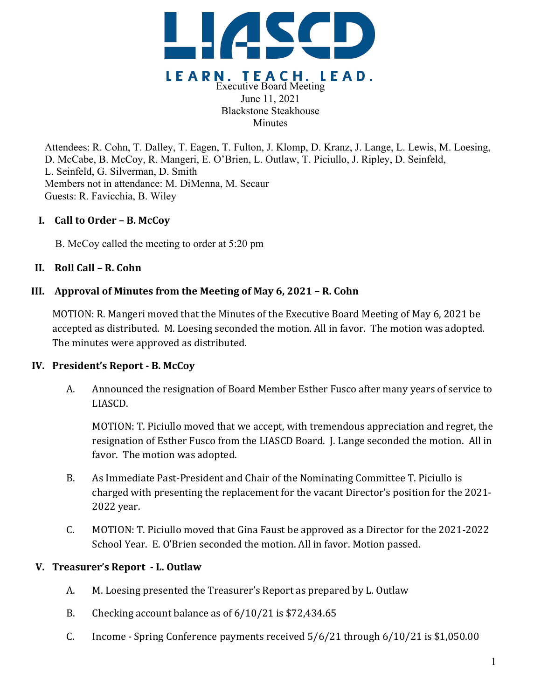

Attendees: R. Cohn, T. Dalley, T. Eagen, T. Fulton, J. Klomp, D. Kranz, J. Lange, L. Lewis, M. Loesing, D. McCabe, B. McCoy, R. Mangeri, E. O'Brien, L. Outlaw, T. Piciullo, J. Ripley, D. Seinfeld, L. Seinfeld, G. Silverman, D. Smith Members not in attendance: M. DiMenna, M. Secaur Guests: R. Favicchia, B. Wiley

## **I. Call to Order – B. McCoy**

B. McCoy called the meeting to order at 5:20 pm

## **II. Roll Call – R. Cohn**

## **III.** Approval of Minutes from the Meeting of May 6, 2021 – R. Cohn

MOTION: R. Mangeri moved that the Minutes of the Executive Board Meeting of May 6, 2021 be accepted as distributed. M. Loesing seconded the motion. All in favor. The motion was adopted. The minutes were approved as distributed.

#### **IV. President's Report - B. McCoy**

A. Announced the resignation of Board Member Esther Fusco after many years of service to LIASCD.

MOTION: T. Piciullo moved that we accept, with tremendous appreciation and regret, the resignation of Esther Fusco from the LIASCD Board. J. Lange seconded the motion. All in favor. The motion was adopted.

- B. As Immediate Past-President and Chair of the Nominating Committee T. Piciullo is charged with presenting the replacement for the vacant Director's position for the 2021-2022 year.
- C. MOTION: T. Piciullo moved that Gina Faust be approved as a Director for the 2021-2022 School Year. E. O'Brien seconded the motion. All in favor. Motion passed.

## **V. Treasurer's Report - L. Outlaw**

- A. M. Loesing presented the Treasurer's Report as prepared by L. Outlaw
- B. Checking account balance as of  $6/10/21$  is \$72,434.65
- C. Income Spring Conference payments received  $5/6/21$  through  $6/10/21$  is \$1,050.00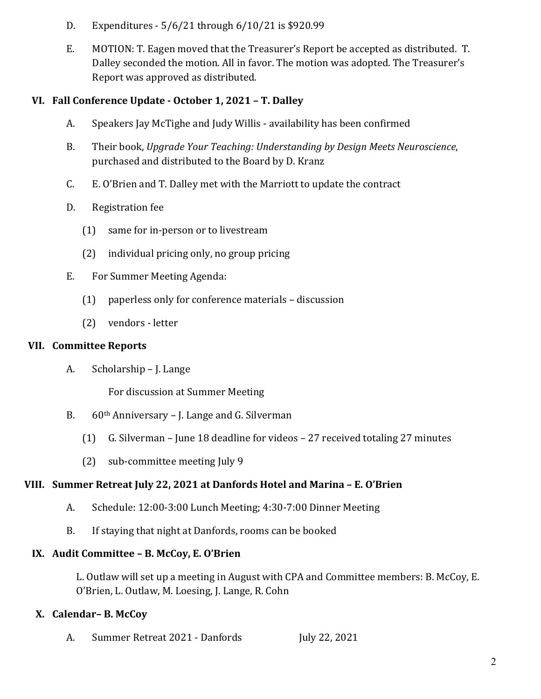- D. Expenditures  $-5/6/21$  through  $6/10/21$  is \$920.99
- E. MOTION: T. Eagen moved that the Treasurer's Report be accepted as distributed. T. Dalley seconded the motion. All in favor. The motion was adopted. The Treasurer's Report was approved as distributed.

# **VI. Fall Conference Update - October 1, 2021 – T. Dalley**

- A. Speakers Jay McTighe and Judy Willis availability has been confirmed
- B. Their book, *Upgrade Your Teaching: Understanding by Design Meets Neuroscience*, purchased and distributed to the Board by D. Kranz
- C. E. O'Brien and T. Dalley met with the Marriott to update the contract
- D. Registration fee
	- $(1)$  same for in-person or to livestream
	- $(2)$  individual pricing only, no group pricing
- E. For Summer Meeting Agenda:
	- (1) paperless only for conference materials discussion
	- $(2)$  vendors letter

## **VII. Committee Reports**

A. Scholarship – J. Lange

For discussion at Summer Meeting

- B.  $60<sup>th</sup>$  Anniversary J. Lange and G. Silverman
	- (1) G. Silverman June 18 deadline for videos 27 received totaling 27 minutes
	- (2) sub-committee meeting July 9

## **VIII. Summer Retreat July 22, 2021 at Danfords Hotel and Marina – E. O'Brien**

- A. Schedule: 12:00-3:00 Lunch Meeting; 4:30-7:00 Dinner Meeting
- B. If staying that night at Danfords, rooms can be booked

## **IX.** Audit Committee - B. McCoy, E. O'Brien

L. Outlaw will set up a meeting in August with CPA and Committee members: B. McCoy, E. O'Brien, L. Outlaw, M. Loesing, J. Lange, R. Cohn

## **X. Calendar– B. McCoy**

A. Summer Retreat 2021 - Danfords July 22, 2021